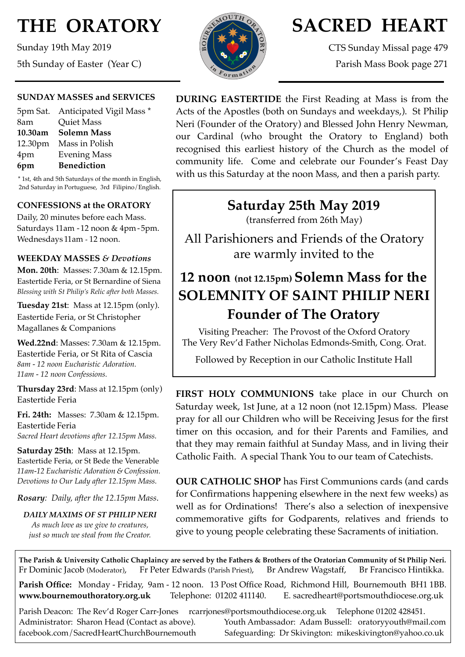# **THE ORATORY**

Sunday 19th May 2019 5th Sunday of Easter (Year C)

#### **SUNDAY MASSES and SERVICES**

|         | 5pm Sat. Anticipated Vigil Mass * |
|---------|-----------------------------------|
| 8am     | <b>Quiet Mass</b>                 |
| 10.30am | <b>Solemn Mass</b>                |
|         | 12.30pm Mass in Polish            |
| 4pm     | <b>Evening Mass</b>               |
| 6pm     | <b>Benediction</b>                |
|         |                                   |

\* 1st, 4th and 5th Saturdays of the month in English, 2nd Saturday in Portuguese, 3rd Filipino/English.

### **CONFESSIONS at the ORATORY**

Daily, 20 minutes before each Mass. Saturdays 11am - 12 noon & 4pm- 5pm. Wednesdays 11am - 12 noon.

#### **WEEKDAY MASSES** *& Devotions*

**Mon. 20th**: Masses: 7.30am & 12.15pm. Eastertide Feria, or St Bernardine of Siena *Blessing with St Philip's Relic after both Masses.*

**Tuesday 21st**: Mass at 12.15pm (only). Eastertide Feria, or St Christopher Magallanes & Companions

**Wed.22nd**: Masses: 7.30am & 12.15pm. Eastertide Feria, or St Rita of Cascia *8am - 12 noon Eucharistic Adoration. 11am - 12 noon Confessions.*

**Thursday 23rd**: Mass at 12.15pm (only) Eastertide Feria

**Fri. 24th:** Masses: 7.30am & 12.15pm. Eastertide Feria *Sacred Heart devotions after 12.15pm Mass.*

**Saturday 25th**: Mass at 12.15pm. Eastertide Feria, or St Bede the Venerable *11am-12 Eucharistic Adoration & Confession. Devotions to Our Lady after 12.15pm Mass.*

*Rosary: Daily, after the 12.15pm Mass*.

*DAILY MAXIMS OF ST PHILIP NERI As much love as we give to creatures, just so much we steal from the Creator.*



# **SACRED HEART**

CTS Sunday Missal page 479 Parish Mass Book page 271

**DURING EASTERTIDE** the First Reading at Mass is from the Acts of the Apostles (both on Sundays and weekdays,). St Philip Neri (Founder of the Oratory) and Blessed John Henry Newman, our Cardinal (who brought the Oratory to England) both recognised this earliest history of the Church as the model of community life. Come and celebrate our Founder's Feast Day with us this Saturday at the noon Mass, and then a parish party.

## **Saturday 25th May 2019**

(transferred from 26th May)

All Parishioners and Friends of the Oratory are warmly invited to the

# **12 noon (not 12.15pm) Solemn Mass for the SOLEMNITY OF SAINT PHILIP NERI Founder of The Oratory**

Visiting Preacher: The Provost of the Oxford Oratory The Very Rev'd Father Nicholas Edmonds-Smith, Cong. Orat.

Followed by Reception in our Catholic Institute Hall

**FIRST HOLY COMMUNIONS** take place in our Church on Saturday week, 1st June, at a 12 noon (not 12.15pm) Mass. Please pray for all our Children who will be Receiving Jesus for the first timer on this occasion, and for their Parents and Families, and that they may remain faithful at Sunday Mass, and in living their Catholic Faith. A special Thank You to our team of Catechists.

**OUR CATHOLIC SHOP** has First Communions cards (and cards for Confirmations happening elsewhere in the next few weeks) as well as for Ordinations! There's also a selection of inexpensive commemorative gifts for Godparents, relatives and friends to give to young people celebrating these Sacraments of initiation.

**The Parish & University Catholic Chaplaincy are served by the Fathers & Brothers of the Oratorian Community of St Philip Neri.** Fr Dominic Jacob (Moderator), Fr Peter Edwards (Parish Priest), Br Andrew Wagstaff, Br Francisco Hintikka.

**Parish Office:** Monday - Friday, 9am - 12 noon. 13 Post Office Road, Richmond Hill, Bournemouth BH1 1BB. **[www.bournemouthoratory.org.uk](http://www.bournemoithoratory.org.uk)** Telephone: 01202 411140. E. [sacredheart@portsmouthdiocese.org.uk](mailto:sacredheart@portsmouthdiocese.org.uk)

Parish Deacon: The Rev'd Roger Carr-Jones [rcarrjones@portsmouthdiocese.org.uk](mailto:rcarrjones@portsmouthdiocese.org.uk) Telephone 01202 428451. Administrator: Sharon Head (Contact as above). Youth Ambassador: Adam Bussell: [oratoryyouth@mail.com](http://oratoryyouth.mail.com) [facebook.com/SacredHeartChurchBournemouth](http://facebook.com/SaccredHeartChurchBournemouth) Safeguarding: Dr Skivington: mikeskivington@yahoo.co.uk